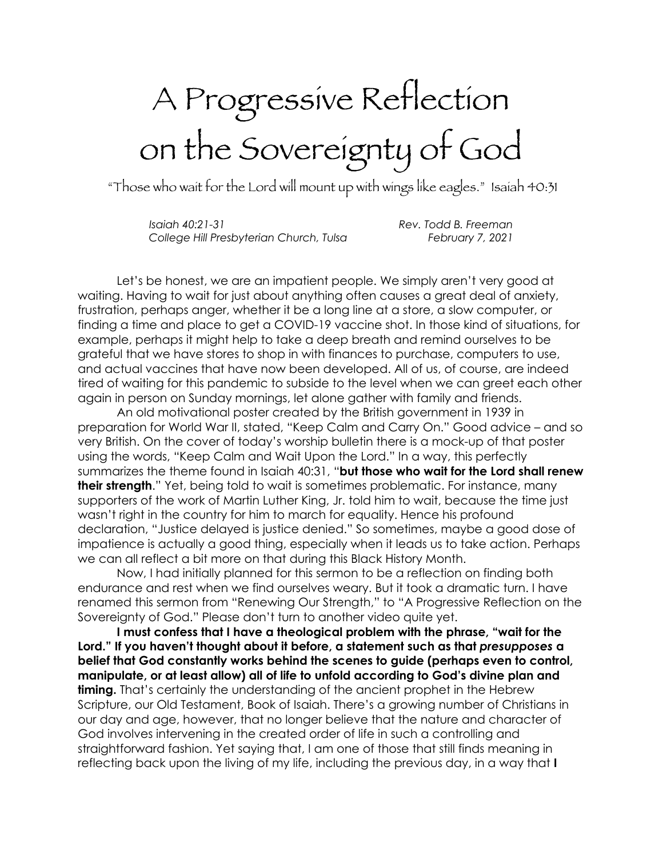## A Progressive Reflection on the Sovereignty of God

"Those who wait for the Lord will mount up with wings like eagles." Isaiah 40:31

*Isaiah 40:21-31 Rev. Todd B. Freeman College Hill Presbyterian Church, Tulsa February 7, 2021*

Let's be honest, we are an impatient people. We simply aren't very good at waiting. Having to wait for just about anything often causes a great deal of anxiety, frustration, perhaps anger, whether it be a long line at a store, a slow computer, or finding a time and place to get a COVID-19 vaccine shot. In those kind of situations, for example, perhaps it might help to take a deep breath and remind ourselves to be grateful that we have stores to shop in with finances to purchase, computers to use, and actual vaccines that have now been developed. All of us, of course, are indeed tired of waiting for this pandemic to subside to the level when we can greet each other again in person on Sunday mornings, let alone gather with family and friends.

An old motivational poster created by the British government in 1939 in preparation for World War II, stated, "Keep Calm and Carry On." Good advice – and so very British. On the cover of today's worship bulletin there is a mock-up of that poster using the words, "Keep Calm and Wait Upon the Lord." In a way, this perfectly summarizes the theme found in Isaiah 40:31, "**but those who wait for the Lord shall renew their strength.**" Yet, being told to wait is sometimes problematic. For instance, many supporters of the work of Martin Luther King, Jr. told him to wait, because the time just wasn't right in the country for him to march for equality. Hence his profound declaration, "Justice delayed is justice denied." So sometimes, maybe a good dose of impatience is actually a good thing, especially when it leads us to take action. Perhaps we can all reflect a bit more on that during this Black History Month.

Now, I had initially planned for this sermon to be a reflection on finding both endurance and rest when we find ourselves weary. But it took a dramatic turn. I have renamed this sermon from "Renewing Our Strength," to "A Progressive Reflection on the Sovereignty of God." Please don't turn to another video quite yet.

**I must confess that I have a theological problem with the phrase, "wait for the Lord." If you haven't thought about it before, a statement such as that** *presupposes* **a belief that God constantly works behind the scenes to guide (perhaps even to control, manipulate, or at least allow) all of life to unfold according to God's divine plan and timing.** That's certainly the understanding of the ancient prophet in the Hebrew Scripture, our Old Testament, Book of Isaiah. There's a growing number of Christians in our day and age, however, that no longer believe that the nature and character of God involves intervening in the created order of life in such a controlling and straightforward fashion. Yet saying that, I am one of those that still finds meaning in reflecting back upon the living of my life, including the previous day, in a way that **I**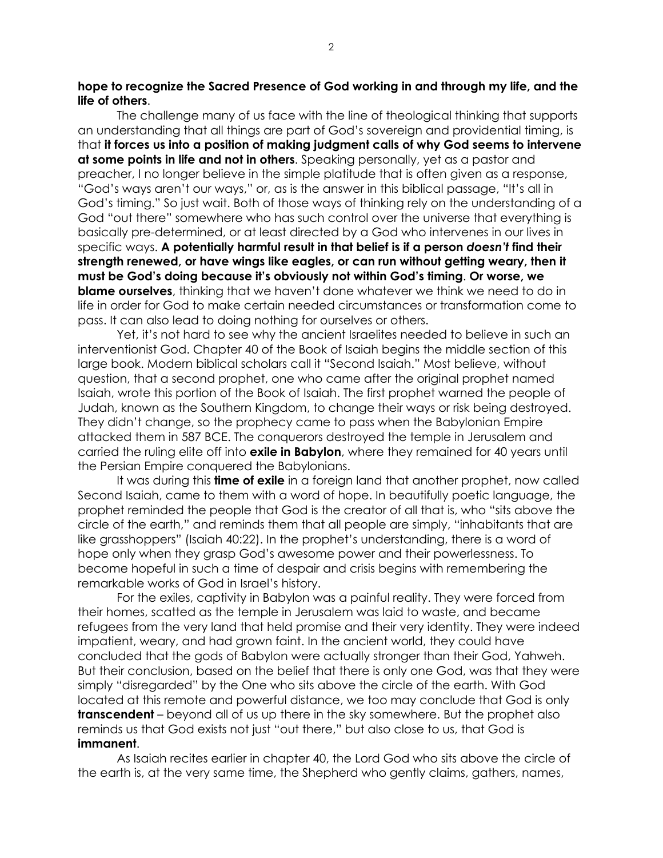**hope to recognize the Sacred Presence of God working in and through my life, and the life of others**.

The challenge many of us face with the line of theological thinking that supports an understanding that all things are part of God's sovereign and providential timing, is that **it forces us into a position of making judgment calls of why God seems to intervene at some points in life and not in others**. Speaking personally, yet as a pastor and preacher, I no longer believe in the simple platitude that is often given as a response, "God's ways aren't our ways," or, as is the answer in this biblical passage, "It's all in God's timing." So just wait. Both of those ways of thinking rely on the understanding of a God "out there" somewhere who has such control over the universe that everything is basically pre-determined, or at least directed by a God who intervenes in our lives in specific ways. **A potentially harmful result in that belief is if a person** *doesn't* **find their strength renewed, or have wings like eagles, or can run without getting weary, then it must be God's doing because it's obviously not within God's timing**. **Or worse, we blame ourselves**, thinking that we haven't done whatever we think we need to do in life in order for God to make certain needed circumstances or transformation come to pass. It can also lead to doing nothing for ourselves or others.

Yet, it's not hard to see why the ancient Israelites needed to believe in such an interventionist God. Chapter 40 of the Book of Isaiah begins the middle section of this large book. Modern biblical scholars call it "Second Isaiah." Most believe, without question, that a second prophet, one who came after the original prophet named Isaiah, wrote this portion of the Book of Isaiah. The first prophet warned the people of Judah, known as the Southern Kingdom, to change their ways or risk being destroyed. They didn't change, so the prophecy came to pass when the Babylonian Empire attacked them in 587 BCE. The conquerors destroyed the temple in Jerusalem and carried the ruling elite off into **exile in Babylon**, where they remained for 40 years until the Persian Empire conquered the Babylonians.

It was during this **time of exile** in a foreign land that another prophet, now called Second Isaiah, came to them with a word of hope. In beautifully poetic language, the prophet reminded the people that God is the creator of all that is, who "sits above the circle of the earth," and reminds them that all people are simply, "inhabitants that are like grasshoppers" (Isaiah 40:22). In the prophet's understanding, there is a word of hope only when they grasp God's awesome power and their powerlessness. To become hopeful in such a time of despair and crisis begins with remembering the remarkable works of God in Israel's history.

For the exiles, captivity in Babylon was a painful reality. They were forced from their homes, scatted as the temple in Jerusalem was laid to waste, and became refugees from the very land that held promise and their very identity. They were indeed impatient, weary, and had grown faint. In the ancient world, they could have concluded that the gods of Babylon were actually stronger than their God, Yahweh. But their conclusion, based on the belief that there is only one God, was that they were simply "disregarded" by the One who sits above the circle of the earth. With God located at this remote and powerful distance, we too may conclude that God is only **transcendent** – beyond all of us up there in the sky somewhere. But the prophet also reminds us that God exists not just "out there," but also close to us, that God is **immanent**.

As Isaiah recites earlier in chapter 40, the Lord God who sits above the circle of the earth is, at the very same time, the Shepherd who gently claims, gathers, names,